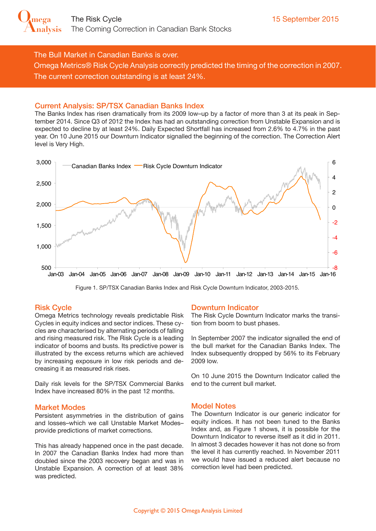The Bull Market in Canadian Banks is over.

Omega Metrics® Risk Cycle Analysis correctly predicted the timing of the correction in 2007. The current correction outstanding is at least 24%.

## Current Analysis: SP/TSX Canadian Banks Index

The Banks Index has risen dramatically from its 2009 low–up by a factor of more than 3 at its peak in September 2014. Since Q3 of 2012 the Index has had an outstanding correction from Unstable Expansion and is expected to decline by at least 24%. Daily Expected Shortfall has increased from 2.6% to 4.7% in the past year. On 10 June 2015 our Downturn Indicator signalled the beginning of the correction. The Correction Alert level is Very High.



Figure 1. SP/TSX Canadian Banks Index and Risk Cycle Downturn Indicator, 2003-2015.

### Risk Cycle

Omega Metrics technology reveals predictable Risk Cycles in equity indices and sector indices. These cycles are characterised by alternating periods of falling and rising measured risk. The Risk Cycle is a leading indicator of booms and busts. Its predictive power is illustrated by the excess returns which are achieved by increasing exposure in low risk periods and decreasing it as measured risk rises.

Daily risk levels for the SP/TSX Commercial Banks Index have increased 80% in the past 12 months.

### Market Modes

Persistent asymmetries in the distribution of gains and losses–which we call Unstable Market Modes– provide predictions of market corrections.

This has already happened once in the past decade. In 2007 the Canadian Banks Index had more than doubled since the 2003 recovery began and was in Unstable Expansion. A correction of at least 38% was predicted.

### Downturn Indicator

The Risk Cycle Downturn Indicator marks the transition from boom to bust phases.

In September 2007 the indicator signalled the end of the bull market for the Canadian Banks Index. The Index subsequently dropped by 56% to its February 2009 low.

On 10 June 2015 the Downturn Indicator called the end to the current bull market.

### Model Notes

The Downturn Indicator is our generic indicator for equity indices. It has not been tuned to the Banks Index and, as Figure 1 shows, it is possible for the Downturn Indicator to reverse itself as it did in 2011. In almost 3 decades however it has not done so from the level it has currently reached. In November 2011 we would have issued a reduced alert because no correction level had been predicted.